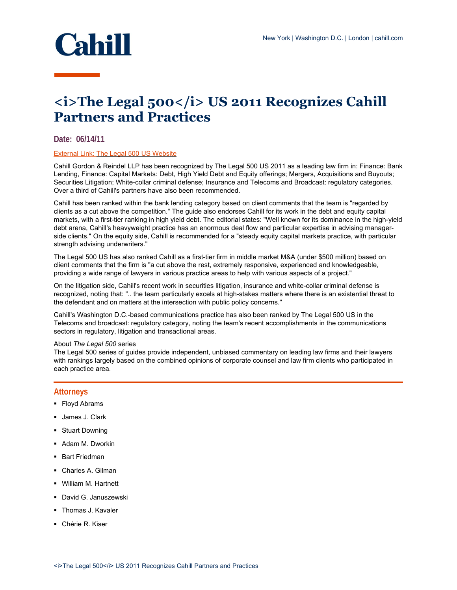

# **<i>The Legal 500</i> US 2011 Recognizes Cahill Partners and Practices**

## **Date: 06/14/11**

### External Link: [The Legal 500 US Website](http://www.legal500.com/firms/50179-cahill-gordon-reindel/52125-new-york)

Cahill Gordon & Reindel LLP has been recognized by The Legal 500 US 2011 as a leading law firm in: Finance: Bank Lending, Finance: Capital Markets: Debt, High Yield Debt and Equity offerings; Mergers, Acquisitions and Buyouts; Securities Litigation; White-collar criminal defense; Insurance and Telecoms and Broadcast: regulatory categories. Over a third of Cahill's partners have also been recommended.

Cahill has been ranked within the bank lending category based on client comments that the team is "regarded by clients as a cut above the competition." The guide also endorses Cahill for its work in the debt and equity capital markets, with a first-tier ranking in high yield debt. The editorial states: "Well known for its dominance in the high-yield debt arena, Cahill's heavyweight practice has an enormous deal flow and particular expertise in advising managerside clients." On the equity side, Cahill is recommended for a "steady equity capital markets practice, with particular strength advising underwriters."

The Legal 500 US has also ranked Cahill as a first-tier firm in middle market M&A (under \$500 million) based on client comments that the firm is "a cut above the rest, extremely responsive, experienced and knowledgeable, providing a wide range of lawyers in various practice areas to help with various aspects of a project."

On the litigation side, Cahill's recent work in securities litigation, insurance and white-collar criminal defense is recognized, noting that: ".. the team particularly excels at high-stakes matters where there is an existential threat to the defendant and on matters at the intersection with public policy concerns."

Cahill's Washington D.C.-based communications practice has also been ranked by The Legal 500 US in the Telecoms and broadcast: regulatory category, noting the team's recent accomplishments in the communications sectors in regulatory, litigation and transactional areas.

#### About *The Legal 500* series

The Legal 500 series of guides provide independent, unbiased commentary on leading law firms and their lawyers with rankings largely based on the combined opinions of corporate counsel and law firm clients who participated in each practice area.

## **Attorneys**

- **Floyd Abrams**
- James J. Clark
- **Stuart Downing**
- **Adam M. Dworkin**
- **Bart Friedman**
- Charles A. Gilman
- William M. Hartnett
- David G. Januszewski
- Thomas J. Kavaler
- Chérie R. Kiser